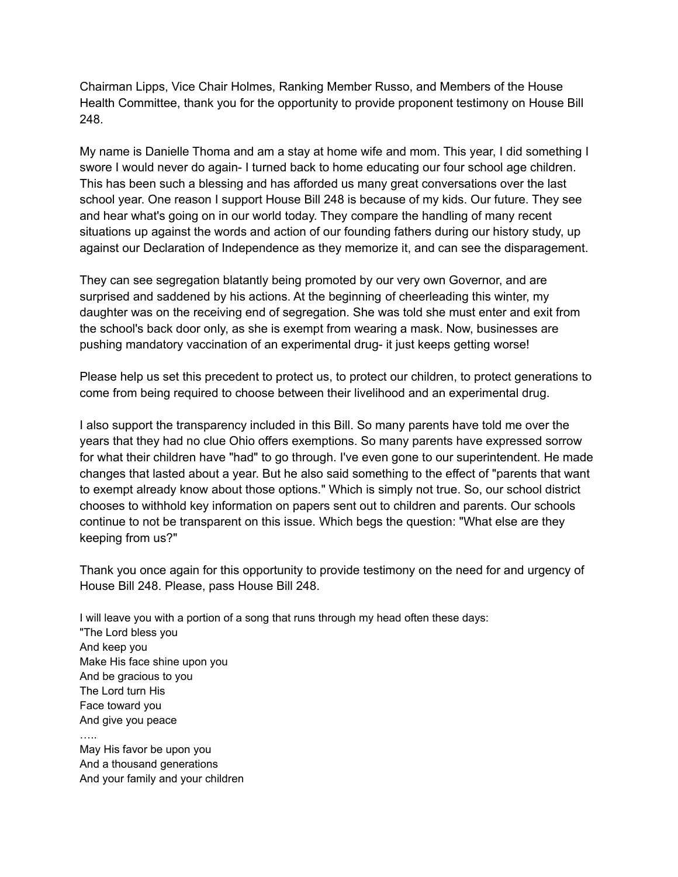Chairman Lipps, Vice Chair Holmes, Ranking Member Russo, and Members of the House Health Committee, thank you for the opportunity to provide proponent testimony on House Bill 248.

My name is Danielle Thoma and am a stay at home wife and mom. This year, I did something I swore I would never do again- I turned back to home educating our four school age children. This has been such a blessing and has afforded us many great conversations over the last school year. One reason I support House Bill 248 is because of my kids. Our future. They see and hear what's going on in our world today. They compare the handling of many recent situations up against the words and action of our founding fathers during our history study, up against our Declaration of Independence as they memorize it, and can see the disparagement.

They can see segregation blatantly being promoted by our very own Governor, and are surprised and saddened by his actions. At the beginning of cheerleading this winter, my daughter was on the receiving end of segregation. She was told she must enter and exit from the school's back door only, as she is exempt from wearing a mask. Now, businesses are pushing mandatory vaccination of an experimental drug- it just keeps getting worse!

Please help us set this precedent to protect us, to protect our children, to protect generations to come from being required to choose between their livelihood and an experimental drug.

I also support the transparency included in this Bill. So many parents have told me over the years that they had no clue Ohio offers exemptions. So many parents have expressed sorrow for what their children have "had" to go through. I've even gone to our superintendent. He made changes that lasted about a year. But he also said something to the effect of "parents that want to exempt already know about those options." Which is simply not true. So, our school district chooses to withhold key information on papers sent out to children and parents. Our schools continue to not be transparent on this issue. Which begs the question: "What else are they keeping from us?"

Thank you once again for this opportunity to provide testimony on the need for and urgency of House Bill 248. Please, pass House Bill 248.

I will leave you with a portion of a song that runs through my head often these days: "The Lord bless you And keep you Make His face shine upon you And be gracious to you The Lord turn His Face toward you And give you peace …..

May His favor be upon you And a thousand generations And your family and your children